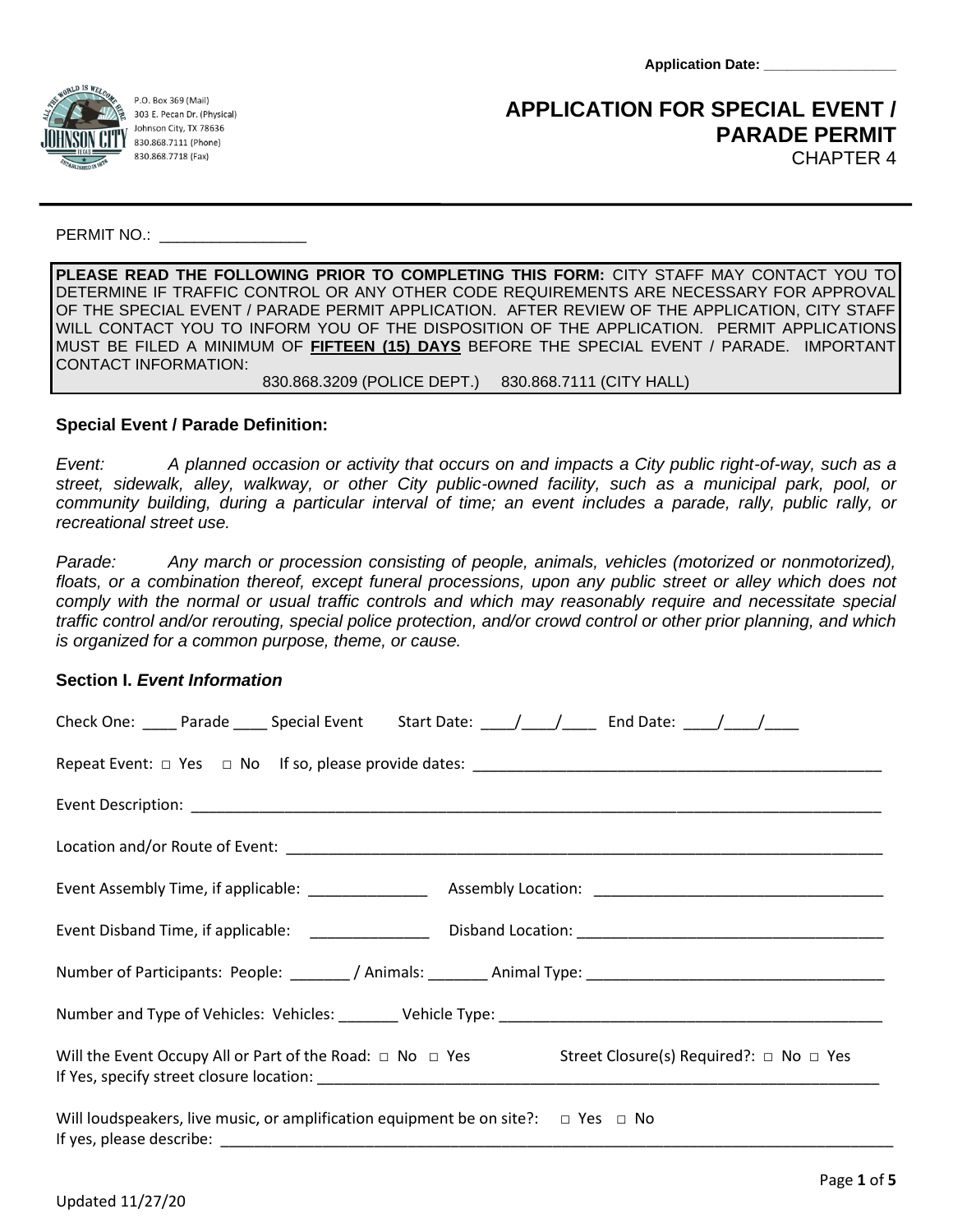**Application Date: \_\_\_\_\_\_\_\_\_\_\_\_\_\_\_\_\_**



P.O. Box 369 (Mail) 303 E. Pecan Dr. (Physical) Johnson City, TX 78636 830.868.7111 (Phone) 830.868.7718 (Fax)

# **APPLICATION FOR SPECIAL EVENT / PARADE PERMIT** CHAPTER 4

PERMIT NO.:  $\blacksquare$ 

**PLEASE READ THE FOLLOWING PRIOR TO COMPLETING THIS FORM:** CITY STAFF MAY CONTACT YOU TO DETERMINE IF TRAFFIC CONTROL OR ANY OTHER CODE REQUIREMENTS ARE NECESSARY FOR APPROVAL OF THE SPECIAL EVENT / PARADE PERMIT APPLICATION. AFTER REVIEW OF THE APPLICATION, CITY STAFF WILL CONTACT YOU TO INFORM YOU OF THE DISPOSITION OF THE APPLICATION. PERMIT APPLICATIONS MUST BE FILED A MINIMUM OF **FIFTEEN (15) DAYS** BEFORE THE SPECIAL EVENT / PARADE. IMPORTANT CONTACT INFORMATION:

830.868.3209 (POLICE DEPT.) 830.868.7111 (CITY HALL)

# **Special Event / Parade Definition:**

*Event: A planned occasion or activity that occurs on and impacts a City public right-of-way, such as a street, sidewalk, alley, walkway, or other City public-owned facility, such as a municipal park, pool, or community building, during a particular interval of time; an event includes a parade, rally, public rally, or recreational street use.* 

*Parade: Any march or procession consisting of people, animals, vehicles (motorized or nonmotorized),*  floats, or a combination thereof, except funeral processions, upon any public street or alley which does not *comply with the normal or usual traffic controls and which may reasonably require and necessitate special traffic control and/or rerouting, special police protection, and/or crowd control or other prior planning, and which is organized for a common purpose, theme, or cause.*

## **Section I.** *Event Information*

| Check One: _____ Parade _____ Special Event Start Date: ____/____/ _____ End Date: ____/____/_____ |  |  |  |  |  |
|----------------------------------------------------------------------------------------------------|--|--|--|--|--|
|                                                                                                    |  |  |  |  |  |
|                                                                                                    |  |  |  |  |  |
|                                                                                                    |  |  |  |  |  |
|                                                                                                    |  |  |  |  |  |
|                                                                                                    |  |  |  |  |  |
|                                                                                                    |  |  |  |  |  |
|                                                                                                    |  |  |  |  |  |
| Will the Event Occupy All or Part of the Road: □ No □ Yes Street Closure(s) Required?: □ No □ Yes  |  |  |  |  |  |
| Will loudspeakers, live music, or amplification equipment be on site?: $\Box$ Yes $\Box$ No        |  |  |  |  |  |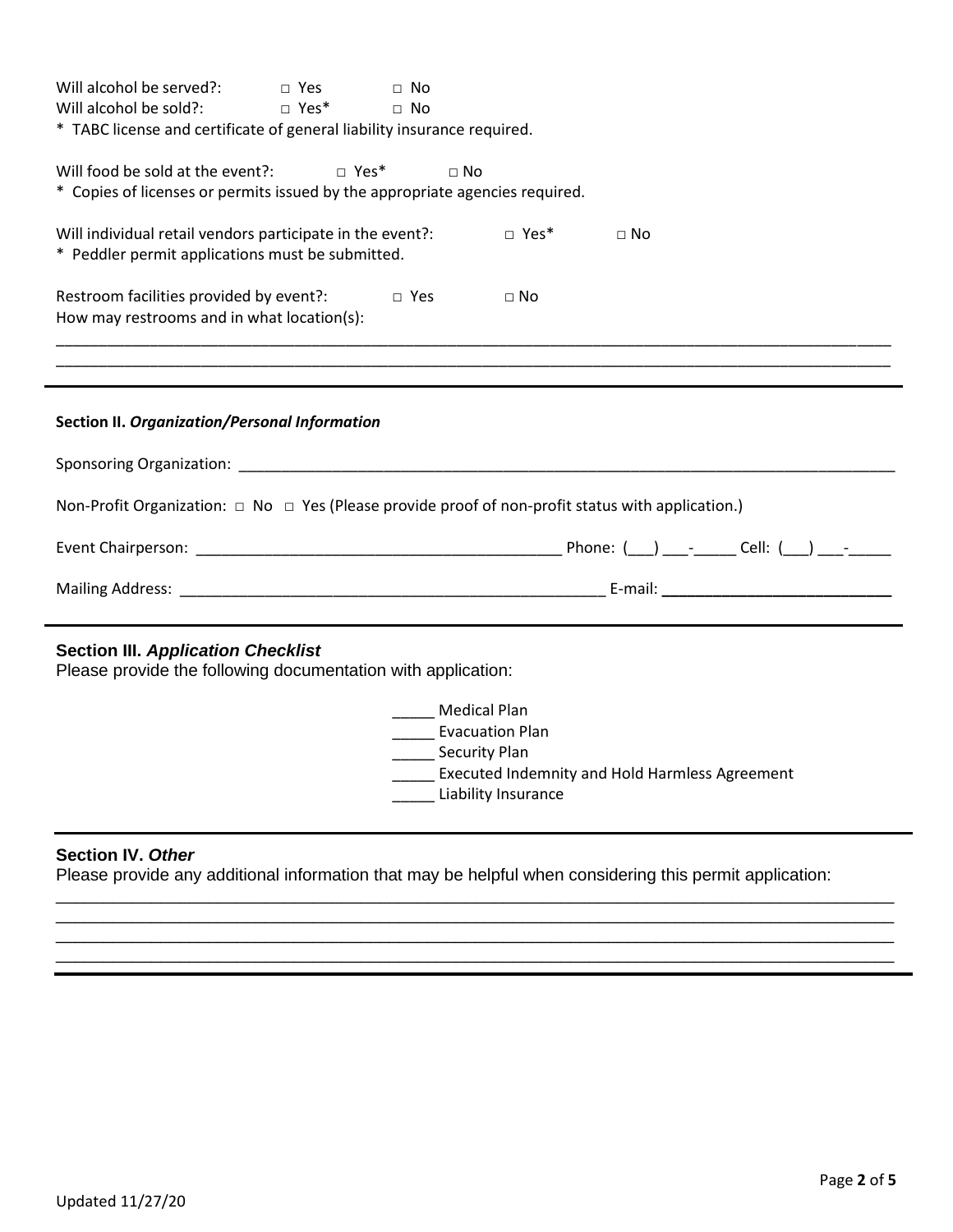| Will alcohol be served?:<br>$\Box$ Yes<br>$\Box$ No<br>$\Box$ Yes*<br>Will alcohol be sold?:<br>$\sqcap$ No<br>* TABC license and certificate of general liability insurance required.                                         |  |  |  |  |  |  |
|--------------------------------------------------------------------------------------------------------------------------------------------------------------------------------------------------------------------------------|--|--|--|--|--|--|
| Will food be sold at the event?: $\square$ Yes*<br>$\Box$ No<br>* Copies of licenses or permits issued by the appropriate agencies required.                                                                                   |  |  |  |  |  |  |
| Will individual retail vendors participate in the event?:<br>$\Box$ Yes*<br>$\Box$ No<br>* Peddler permit applications must be submitted.                                                                                      |  |  |  |  |  |  |
| Restroom facilities provided by event?:<br>$\Box$ Yes<br>$\Box$ No<br>How may restrooms and in what location(s):                                                                                                               |  |  |  |  |  |  |
|                                                                                                                                                                                                                                |  |  |  |  |  |  |
| Section II. Organization/Personal Information                                                                                                                                                                                  |  |  |  |  |  |  |
| Sponsoring Organization: Contract Contract Contract Contract Contract Contract Contract Contract Contract Contract Contract Contract Contract Contract Contract Contract Contract Contract Contract Contract Contract Contract |  |  |  |  |  |  |
| Non-Profit Organization: $\Box$ No $\Box$ Yes (Please provide proof of non-profit status with application.)                                                                                                                    |  |  |  |  |  |  |
|                                                                                                                                                                                                                                |  |  |  |  |  |  |
|                                                                                                                                                                                                                                |  |  |  |  |  |  |
| <b>Section III. Application Checklist</b><br>Please provide the following documentation with application:                                                                                                                      |  |  |  |  |  |  |
| <b>Medical Plan</b><br>______ Evacuation Plan<br>_______ Security Plan<br>____ Executed Indemnity and Hold Harmless Agreement<br>Liability Insurance                                                                           |  |  |  |  |  |  |

## **Section IV.** *Other*

Please provide any additional information that may be helpful when considering this permit application:

\_\_\_\_\_\_\_\_\_\_\_\_\_\_\_\_\_\_\_\_\_\_\_\_\_\_\_\_\_\_\_\_\_\_\_\_\_\_\_\_\_\_\_\_\_\_\_\_\_\_\_\_\_\_\_\_\_\_\_\_\_\_\_\_\_\_\_\_\_\_\_\_\_\_\_\_\_\_\_\_\_\_\_\_\_\_\_\_ \_\_\_\_\_\_\_\_\_\_\_\_\_\_\_\_\_\_\_\_\_\_\_\_\_\_\_\_\_\_\_\_\_\_\_\_\_\_\_\_\_\_\_\_\_\_\_\_\_\_\_\_\_\_\_\_\_\_\_\_\_\_\_\_\_\_\_\_\_\_\_\_\_\_\_\_\_\_\_\_\_\_\_\_\_\_\_\_

\_\_\_\_\_\_\_\_\_\_\_\_\_\_\_\_\_\_\_\_\_\_\_\_\_\_\_\_\_\_\_\_\_\_\_\_\_\_\_\_\_\_\_\_\_\_\_\_\_\_\_\_\_\_\_\_\_\_\_\_\_\_\_\_\_\_\_\_\_\_\_\_\_\_\_\_\_\_\_\_\_\_\_\_\_\_\_\_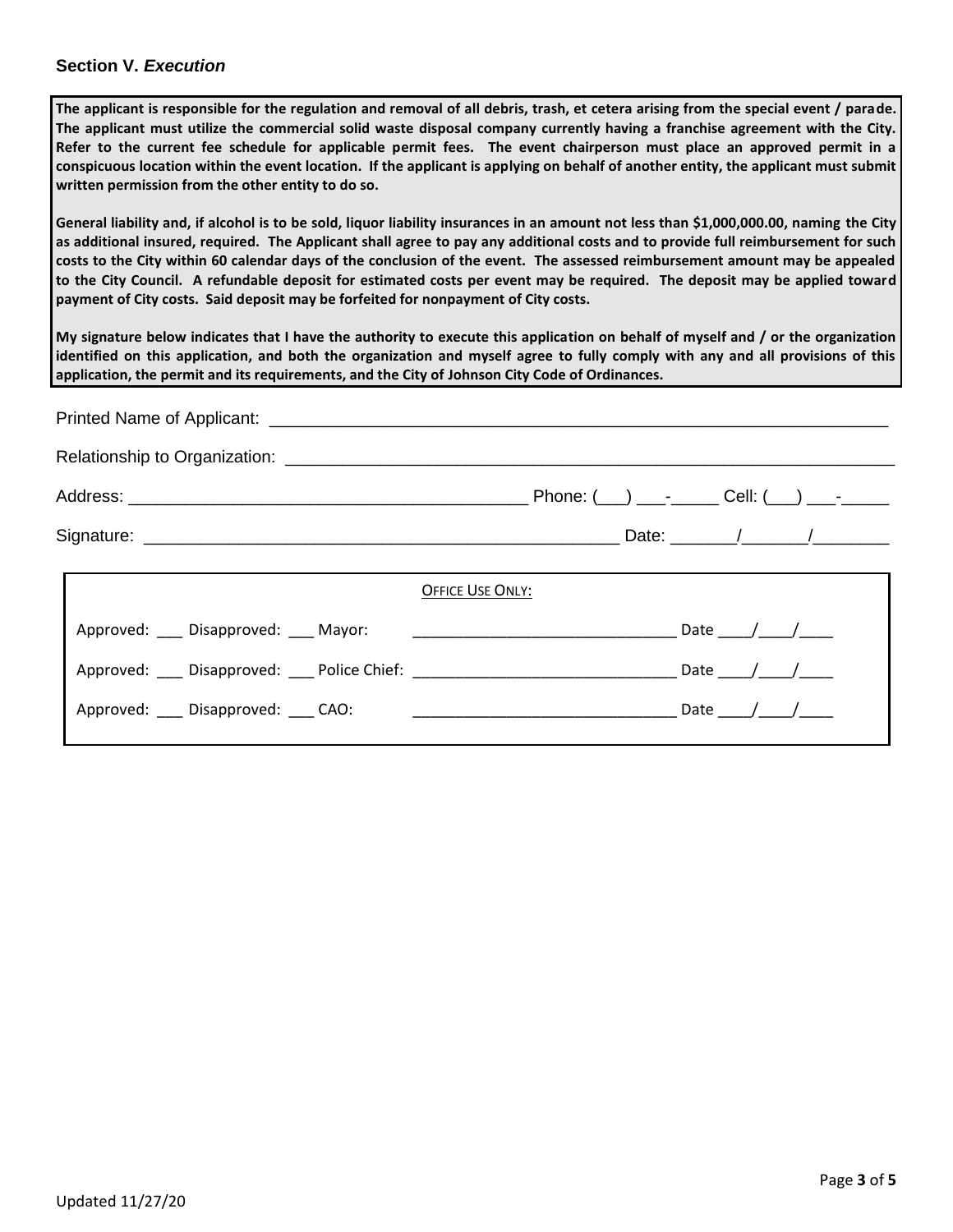#### **Section V.** *Execution*

**The applicant is responsible for the regulation and removal of all debris, trash, et cetera arising from the special event / parade. The applicant must utilize the commercial solid waste disposal company currently having a franchise agreement with the City. Refer to the current fee schedule for applicable permit fees. The event chairperson must place an approved permit in a conspicuous location within the event location. If the applicant is applying on behalf of another entity, the applicant must submit written permission from the other entity to do so.**

**General liability and, if alcohol is to be sold, liquor liability insurances in an amount not less than \$1,000,000.00, naming the City as additional insured, required. The Applicant shall agree to pay any additional costs and to provide full reimbursement for such costs to the City within 60 calendar days of the conclusion of the event. The assessed reimbursement amount may be appealed to the City Council. A refundable deposit for estimated costs per event may be required. The deposit may be applied toward payment of City costs. Said deposit may be forfeited for nonpayment of City costs.**

**My signature below indicates that I have the authority to execute this application on behalf of myself and / or the organization identified on this application, and both the organization and myself agree to fully comply with any and all provisions of this application, the permit and its requirements, and the City of Johnson City Code of Ordinances.** 

| Printed Name of Applicant: ___________ |                                                                                  |                         |  |  |  |  |  |  |
|----------------------------------------|----------------------------------------------------------------------------------|-------------------------|--|--|--|--|--|--|
|                                        |                                                                                  |                         |  |  |  |  |  |  |
|                                        |                                                                                  |                         |  |  |  |  |  |  |
|                                        |                                                                                  |                         |  |  |  |  |  |  |
|                                        |                                                                                  | <b>OFFICE USE ONLY:</b> |  |  |  |  |  |  |
|                                        | Approved: Disapproved: Mayor:                                                    | Date $/$ $/$            |  |  |  |  |  |  |
|                                        | Approved: ___ Disapproved: ___ Police Chief: ___________________________________ | Date / /                |  |  |  |  |  |  |
|                                        | Approved: Disapproved: CAO:                                                      | Date $/$ /              |  |  |  |  |  |  |
|                                        |                                                                                  |                         |  |  |  |  |  |  |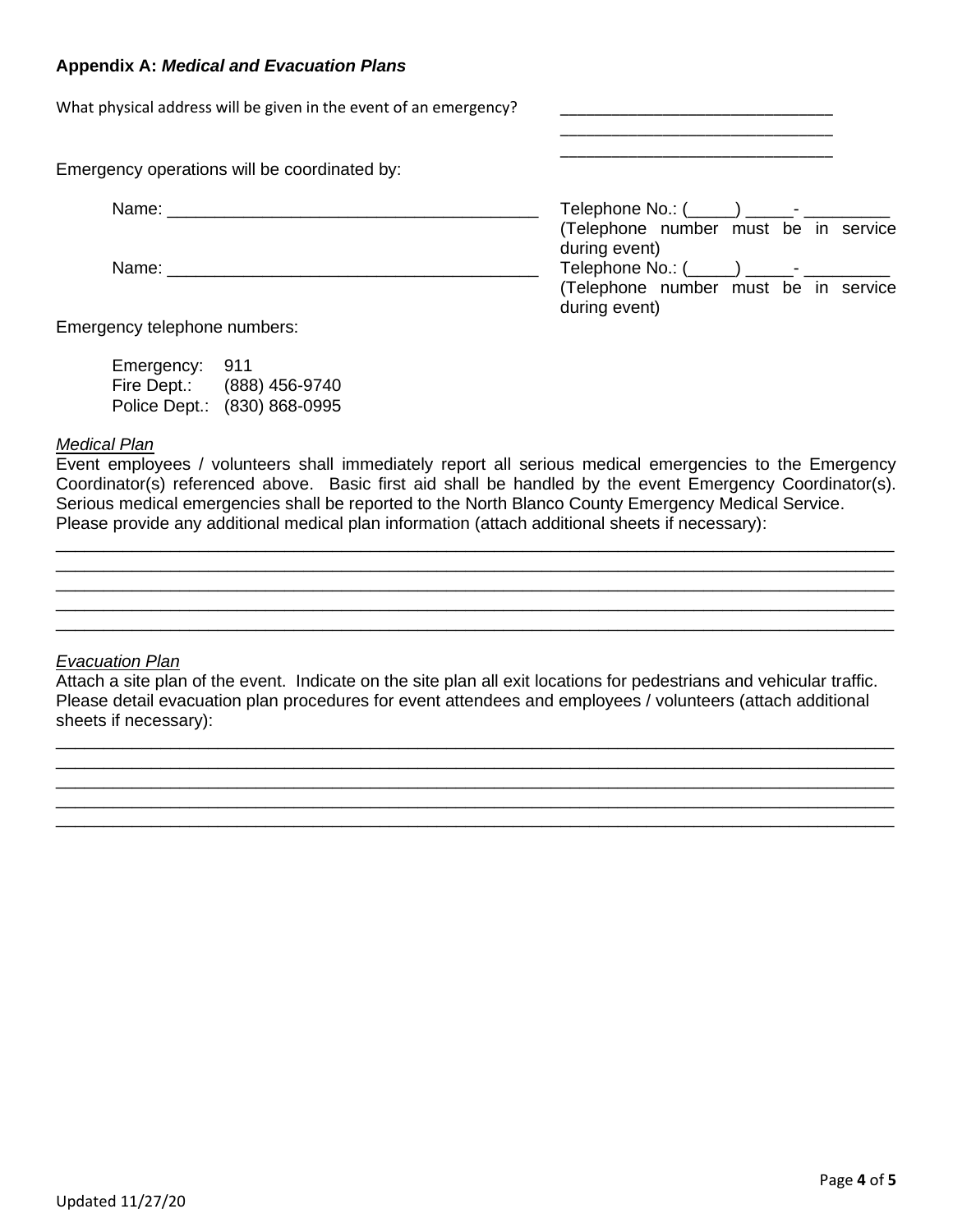### **Appendix A:** *Medical and Evacuation Plans*

What physical address will be given in the event of an emergency?

Emergency operations will be coordinated by:

| Name: |                                      |
|-------|--------------------------------------|
|       | (Telephone number must be in service |
|       | during event)                        |
| Name: |                                      |
|       | (Telephone number must be in service |
|       | during event)                        |

\_\_\_\_\_\_\_\_\_\_\_\_\_\_\_\_\_\_\_\_\_\_\_\_\_\_\_\_\_\_\_\_ \_\_\_\_\_\_\_\_\_\_\_\_\_\_\_\_\_\_\_\_\_\_\_\_\_\_\_\_\_\_\_\_

Emergency telephone numbers:

| Emergency:    | 911            |
|---------------|----------------|
| Fire Dept.:   | (888) 456-9740 |
| Police Dept.: | (830) 868-0995 |

#### *Medical Plan*

Event employees / volunteers shall immediately report all serious medical emergencies to the Emergency Coordinator(s) referenced above. Basic first aid shall be handled by the event Emergency Coordinator(s). Serious medical emergencies shall be reported to the North Blanco County Emergency Medical Service. Please provide any additional medical plan information (attach additional sheets if necessary):

\_\_\_\_\_\_\_\_\_\_\_\_\_\_\_\_\_\_\_\_\_\_\_\_\_\_\_\_\_\_\_\_\_\_\_\_\_\_\_\_\_\_\_\_\_\_\_\_\_\_\_\_\_\_\_\_\_\_\_\_\_\_\_\_\_\_\_\_\_\_\_\_\_\_\_\_\_\_\_\_\_\_\_\_\_\_\_\_ \_\_\_\_\_\_\_\_\_\_\_\_\_\_\_\_\_\_\_\_\_\_\_\_\_\_\_\_\_\_\_\_\_\_\_\_\_\_\_\_\_\_\_\_\_\_\_\_\_\_\_\_\_\_\_\_\_\_\_\_\_\_\_\_\_\_\_\_\_\_\_\_\_\_\_\_\_\_\_\_\_\_\_\_\_\_\_\_ \_\_\_\_\_\_\_\_\_\_\_\_\_\_\_\_\_\_\_\_\_\_\_\_\_\_\_\_\_\_\_\_\_\_\_\_\_\_\_\_\_\_\_\_\_\_\_\_\_\_\_\_\_\_\_\_\_\_\_\_\_\_\_\_\_\_\_\_\_\_\_\_\_\_\_\_\_\_\_\_\_\_\_\_\_\_\_\_ \_\_\_\_\_\_\_\_\_\_\_\_\_\_\_\_\_\_\_\_\_\_\_\_\_\_\_\_\_\_\_\_\_\_\_\_\_\_\_\_\_\_\_\_\_\_\_\_\_\_\_\_\_\_\_\_\_\_\_\_\_\_\_\_\_\_\_\_\_\_\_\_\_\_\_\_\_\_\_\_\_\_\_\_\_\_\_\_ \_\_\_\_\_\_\_\_\_\_\_\_\_\_\_\_\_\_\_\_\_\_\_\_\_\_\_\_\_\_\_\_\_\_\_\_\_\_\_\_\_\_\_\_\_\_\_\_\_\_\_\_\_\_\_\_\_\_\_\_\_\_\_\_\_\_\_\_\_\_\_\_\_\_\_\_\_\_\_\_\_\_\_\_\_\_\_\_

#### *Evacuation Plan*

Attach a site plan of the event. Indicate on the site plan all exit locations for pedestrians and vehicular traffic. Please detail evacuation plan procedures for event attendees and employees / volunteers (attach additional sheets if necessary):

\_\_\_\_\_\_\_\_\_\_\_\_\_\_\_\_\_\_\_\_\_\_\_\_\_\_\_\_\_\_\_\_\_\_\_\_\_\_\_\_\_\_\_\_\_\_\_\_\_\_\_\_\_\_\_\_\_\_\_\_\_\_\_\_\_\_\_\_\_\_\_\_\_\_\_\_\_\_\_\_\_\_\_\_\_\_\_\_ \_\_\_\_\_\_\_\_\_\_\_\_\_\_\_\_\_\_\_\_\_\_\_\_\_\_\_\_\_\_\_\_\_\_\_\_\_\_\_\_\_\_\_\_\_\_\_\_\_\_\_\_\_\_\_\_\_\_\_\_\_\_\_\_\_\_\_\_\_\_\_\_\_\_\_\_\_\_\_\_\_\_\_\_\_\_\_\_ \_\_\_\_\_\_\_\_\_\_\_\_\_\_\_\_\_\_\_\_\_\_\_\_\_\_\_\_\_\_\_\_\_\_\_\_\_\_\_\_\_\_\_\_\_\_\_\_\_\_\_\_\_\_\_\_\_\_\_\_\_\_\_\_\_\_\_\_\_\_\_\_\_\_\_\_\_\_\_\_\_\_\_\_\_\_\_\_ \_\_\_\_\_\_\_\_\_\_\_\_\_\_\_\_\_\_\_\_\_\_\_\_\_\_\_\_\_\_\_\_\_\_\_\_\_\_\_\_\_\_\_\_\_\_\_\_\_\_\_\_\_\_\_\_\_\_\_\_\_\_\_\_\_\_\_\_\_\_\_\_\_\_\_\_\_\_\_\_\_\_\_\_\_\_\_\_ \_\_\_\_\_\_\_\_\_\_\_\_\_\_\_\_\_\_\_\_\_\_\_\_\_\_\_\_\_\_\_\_\_\_\_\_\_\_\_\_\_\_\_\_\_\_\_\_\_\_\_\_\_\_\_\_\_\_\_\_\_\_\_\_\_\_\_\_\_\_\_\_\_\_\_\_\_\_\_\_\_\_\_\_\_\_\_\_